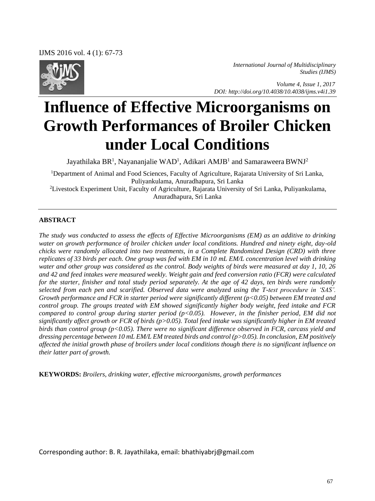IJMS 2016 vol. 4 (1): 67-73



*International Journal of Multidisciplinary Studies (IJMS)* 

 *Volume 4, Issue 1, 2017 DOI: http://doi.org/10.4038/10.4038/ijms.v4i1.39* 

# **Influence of Effective Microorganisms on Growth Performances of Broiler Chicken under Local Conditions**

Jayathilaka BR<sup>1</sup>, Nayananjalie WAD<sup>1</sup>, Adikari AMJB<sup>1</sup> and Samaraweera BWNJ<sup>2</sup>

<sup>1</sup>Department of Animal and Food Sciences, Faculty of Agriculture, Rajarata University of Sri Lanka, Puliyankulama, Anuradhapura, Sri Lanka <sup>2</sup>Livestock Experiment Unit, Faculty of Agriculture, Rajarata University of Sri Lanka, Puliyankulama,

Anuradhapura, Sri Lanka

#### **ABSTRACT**

*The study was conducted to assess the effects of Effective Microorganisms (EM) as an additive to drinking water on growth performance of broiler chicken under local conditions. Hundred and ninety eight, day-old chicks were randomly allocated into two treatments, in a Complete Randomized Design (CRD) with three replicates of 33 birds per each. One group was fed with EM in 10 mL EM/L concentration level with drinking water and other group was considered as the control. Body weights of birds were measured at day 1, 10, 26 and 42 and feed intakes were measured weekly. Weight gain and feed conversion ratio (FCR) were calculated for the starter, finisher and total study period separately. At the age of 42 days, ten birds were randomly selected from each pen and scarified. Observed data were analyzed using the T-test procedure in 'SAS'. Growth performance and FCR in starter period were significantly different (p<0.05) between EM treated and control group. The groups treated with EM showed significantly higher body weight, feed intake and FCR compared to control group during starter period (p<0.05). However, in the finisher period, EM did not significantly affect growth or FCR of birds (p>0.05). Total feed intake was significantly higher in EM treated birds than control group (p<0.05). There were no significant difference observed in FCR, carcass yield and dressing percentage between 10 mL EM/L EM treated birds and control (p>0.05). In conclusion, EM positively affected the initial growth phase of broilers under local conditions though there is no significant influence on their latter part of growth.* 

**KEYWORDS:** *Broilers, drinking water, effective microorganisms, growth performances* 

Corresponding author: B. R. Jayathilaka, email: bhathiyabrj@gmail.com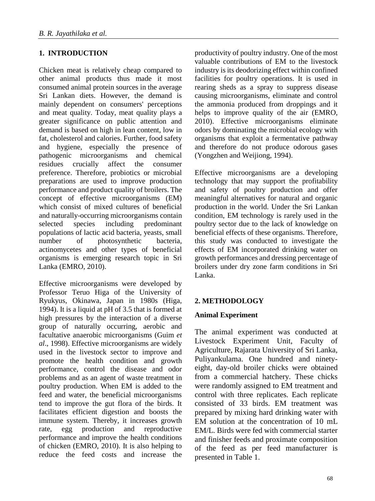# **1. INTRODUCTION**

Chicken meat is relatively cheap compared to other animal products thus made it most consumed animal protein sources in the average Sri Lankan diets. However, the demand is mainly dependent on consumers' perceptions and meat quality. Today, meat quality plays a greater significance on public attention and demand is based on high in lean content, low in fat, cholesterol and calories. Further, food safety and hygiene, especially the presence of pathogenic microorganisms and chemical residues crucially affect the consumer preference. Therefore, probiotics or microbial preparations are used to improve production performance and product quality of broilers. The concept of effective microorganisms (EM) which consist of mixed cultures of beneficial and naturally-occurring microorganisms contain selected species including predominant populations of lactic acid bacteria, yeasts, small number of photosynthetic bacteria, actinomycetes and other types of beneficial organisms is emerging research topic in Sri Lanka (EMRO, 2010).

Effective microorganisms were developed by Professor Teruo Higa of the University of Ryukyus, Okinawa, Japan in 1980s (Higa, 1994). It is a liquid at pH of 3.5 that is formed at high pressures by the interaction of a diverse group of naturally occurring, aerobic and facultative anaerobic microorganisms (Guim *et al*., 1998). Effective microorganisms are widely used in the livestock sector to improve and promote the health condition and growth performance, control the disease and odor problems and as an agent of waste treatment in poultry production. When EM is added to the feed and water, the beneficial microorganisms tend to improve the gut flora of the birds. It facilitates efficient digestion and boosts the immune system. Thereby, it increases growth rate, egg production and reproductive performance and improve the health conditions of chicken (EMRO, 2010). It is also helping to reduce the feed costs and increase the productivity of poultry industry. One of the most valuable contributions of EM to the livestock industry is its deodorizing effect within confined facilities for poultry operations. It is used in rearing sheds as a spray to suppress disease causing microorganisms, eliminate and control the ammonia produced from droppings and it helps to improve quality of the air (EMRO, 2010). Effective microorganisms eliminate odors by dominating the microbial ecology with organisms that exploit a fermentative pathway and therefore do not produce odorous gases (Yongzhen and Weijiong, 1994).

Effective microorganisms are a developing technology that may support the profitability and safety of poultry production and offer meaningful alternatives for natural and organic production in the world. Under the Sri Lankan condition, EM technology is rarely used in the poultry sector due to the lack of knowledge on beneficial effects of these organisms. Therefore, this study was conducted to investigate the effects of EM incorporated drinking water on growth performances and dressing percentage of broilers under dry zone farm conditions in Sri Lanka.

### **2. METHODOLOGY**

### **Animal Experiment**

The animal experiment was conducted at Livestock Experiment Unit, Faculty of Agriculture, Rajarata University of Sri Lanka, Puliyankulama. One hundred and ninetyeight, day-old broiler chicks were obtained from a commercial hatchery. These chicks were randomly assigned to EM treatment and control with three replicates. Each replicate consisted of 33 birds. EM treatment was prepared by mixing hard drinking water with EM solution at the concentration of 10 mL EM/L. Birds were fed with commercial starter and finisher feeds and proximate composition of the feed as per feed manufacturer is presented in Table 1.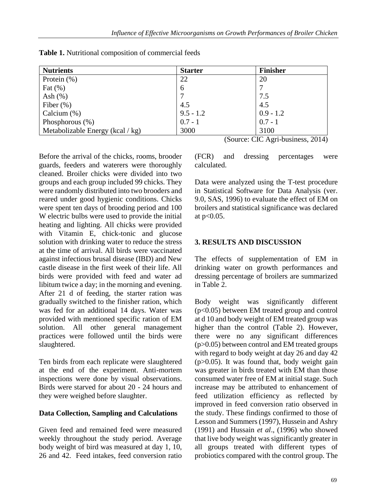| <b>Nutrients</b>                 | <b>Starter</b> | <b>Finisher</b> |
|----------------------------------|----------------|-----------------|
| Protein $(\%)$                   | 22             | 20              |
| Fat $(\%)$                       | 6              |                 |
| Ash $(\%)$                       |                | 7.5             |
| Fiber $(\%)$                     | 4.5            | 4.5             |
| Calcium $(\%)$                   | $9.5 - 1.2$    | $0.9 - 1.2$     |
| Phosphorous $(\%)$               | $0.7 - 1$      | $0.7 - 1$       |
| Metabolizable Energy (kcal / kg) | 3000           | 3100            |

**Table 1.** Nutritional composition of commercial feeds

Before the arrival of the chicks, rooms, brooder guards, feeders and waterers were thoroughly cleaned. Broiler chicks were divided into two groups and each group included 99 chicks. They were randomly distributed into two brooders and reared under good hygienic conditions. Chicks were spent ten days of brooding period and 100 W electric bulbs were used to provide the initial heating and lighting. All chicks were provided with Vitamin E, chick-tonic and glucose solution with drinking water to reduce the stress at the time of arrival. All birds were vaccinated against infectious brusal disease (IBD) and New castle disease in the first week of their life. All birds were provided with feed and water ad libitum twice a day; in the morning and evening. After 21 d of feeding, the starter ration was gradually switched to the finisher ration, which was fed for an additional 14 days. Water was provided with mentioned specific ration of EM solution. All other general management practices were followed until the birds were slaughtered.

Ten birds from each replicate were slaughtered at the end of the experiment. Anti-mortem inspections were done by visual observations. Birds were starved for about 20 - 24 hours and they were weighed before slaughter.

### **Data Collection, Sampling and Calculations**

Given feed and remained feed were measured weekly throughout the study period. Average body weight of bird was measured at day 1, 10, 26 and 42. Feed intakes, feed conversion ratio (Source: CIC Agri-business, 2014)

(FCR) and dressing percentages were calculated.

Data were analyzed using the T-test procedure in Statistical Software for Data Analysis (ver. 9.0, SAS, 1996) to evaluate the effect of EM on broilers and statistical significance was declared at p<0.05.

## **3. RESULTS AND DISCUSSION**

The effects of supplementation of EM in drinking water on growth performances and dressing percentage of broilers are summarized in Table 2.

Body weight was significantly different (p<0.05) between EM treated group and control at d 10 and body weight of EM treated group was higher than the control (Table 2). However, there were no any significant differences (p>0.05) between control and EM treated groups with regard to body weight at day 26 and day 42  $(p>0.05)$ . It was found that, body weight gain was greater in birds treated with EM than those consumed water free of EM at initial stage. Such increase may be attributed to enhancement of feed utilization efficiency as reflected by improved in feed conversion ratio observed in the study. These findings confirmed to those of Lesson and Summers (1997), Hussein and Ashry (1991) and Hussain *et al*., (1996) who showed that live body weight was significantly greater in all groups treated with different types of probiotics compared with the control group. The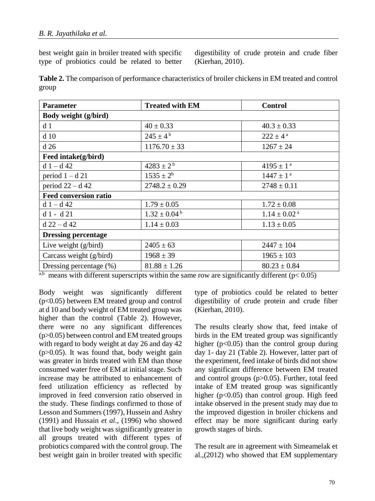best weight gain in broiler treated with specific type of probiotics could be related to better digestibility of crude protein and crude fiber (Kierhan, 2010).

**Table 2.** The comparison of performance characteristics of broiler chickens in EM treated and control group

| <b>Parameter</b>             | <b>Treated with EM</b>      | <b>Control</b>               |  |
|------------------------------|-----------------------------|------------------------------|--|
| Body weight (g/bird)         |                             |                              |  |
| d 1                          | $40 \pm 0.33$               | $40.3 \pm 0.33$              |  |
| d <sub>10</sub>              | $245 \pm 4^{\rm b}$         | $222 \pm 4^{\text{a}}$       |  |
| d26                          | $1176.70 \pm 33$            | $1267 \pm 24$                |  |
| Feed intake(g/bird)          |                             |                              |  |
| $d 1 - d 42$                 | $4283 \pm 2^{b}$            | $4195 \pm 1^{\text{a}}$      |  |
| period $1 - d$ 21            | $1535 \pm 2^b$              | $1447 \pm 1^{\text{ a}}$     |  |
| period $22 - d$ 42           | $2748.2 \pm 0.29$           | $2748 \pm 0.11$              |  |
| <b>Feed conversion ratio</b> |                             |                              |  |
| $d 1 - d 42$                 | $1.79 \pm 0.05$             | $1.72 \pm 0.08$              |  |
| $d1 - d21$                   | $1.32 \pm 0.04^{\text{ b}}$ | $1.14 \pm 0.02$ <sup>a</sup> |  |
| $d$ 22 – d 42                | $1.14 \pm 0.03$             | $1.13 \pm 0.05$              |  |
| <b>Dressing percentage</b>   |                             |                              |  |
| Live weight $(g/bird)$       | $2405 \pm 63$               | $2447 \pm 104$               |  |
| Carcass weight (g/bird)      | $1968 \pm 39$               | $1965 \pm 103$               |  |
| Dressing percentage (%)      | $81.88 \pm 1.26$            | $80.23 \pm 0.84$             |  |

<sup>a,b</sup> means with different superscripts within the same row are significantly different ( $p$ < 0.05)

Body weight was significantly different (p<0.05) between EM treated group and control at d 10 and body weight of EM treated group was higher than the control (Table 2). However, there were no any significant differences (p>0.05) between control and EM treated groups with regard to body weight at day 26 and day 42  $(p>0.05)$ . It was found that, body weight gain was greater in birds treated with EM than those consumed water free of EM at initial stage. Such increase may be attributed to enhancement of feed utilization efficiency as reflected by improved in feed conversion ratio observed in the study. These findings confirmed to those of Lesson and Summers (1997), Hussein and Ashry (1991) and Hussain *et al*., (1996) who showed that live body weight was significantly greater in all groups treated with different types of probiotics compared with the control group. The best weight gain in broiler treated with specific type of probiotics could be related to better digestibility of crude protein and crude fiber (Kierhan, 2010).

The results clearly show that, feed intake of birds in the EM treated group was significantly higher ( $p<0.05$ ) than the control group during day 1- day 21 (Table 2). However, latter part of the experiment, feed intake of birds did not show any significant difference between EM treated and control groups (p>0.05). Further, total feed intake of EM treated group was significantly higher (p<0.05) than control group. High feed intake observed in the present study may due to the improved digestion in broiler chickens and effect may be more significant during early growth stages of birds.

The result are in agreement with Simeamelak et al.,(2012) who showed that EM supplementary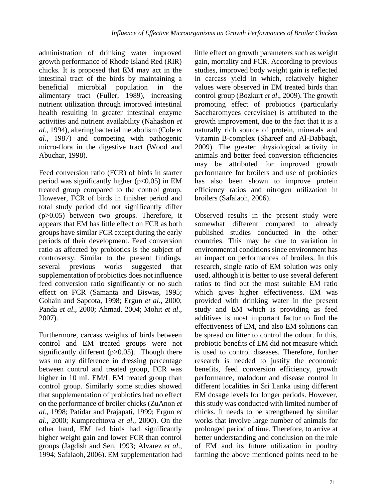administration of drinking water improved growth performance of Rhode Island Red (RIR) chicks. It is proposed that EM may act in the intestinal tract of the birds by maintaining a beneficial microbial population in the alimentary tract (Fuller, 1989), increasing nutrient utilization through improved intestinal health resulting in greater intestinal enzyme activities and nutrient availability (Nahashon *et al*., 1994), altering bacterial metabolism (Cole *et al*., 1987) and competing with pathogenic micro-flora in the digestive tract (Wood and Abuchar, 1998).

Feed conversion ratio (FCR) of birds in starter period was significantly higher ( $p<0.05$ ) in EM treated group compared to the control group. However, FCR of birds in finisher period and total study period did not significantly differ (p>0.05) between two groups. Therefore, it appears that EM has little effect on FCR as both groups have similar FCR except during the early periods of their development. Feed conversion ratio as affected by probiotics is the subject of controversy. Similar to the present findings, several previous works suggested that supplementation of probiotics does not influence feed conversion ratio significantly or no such effect on FCR (Samanta and Biswas, 1995; Gohain and Sapcota, 1998; Ergun *et al*., 2000; Panda *et al*., 2000; Ahmad, 2004; Mohit *et al*., 2007).

Furthermore, carcass weights of birds between control and EM treated groups were not significantly different  $(p>0.05)$ . Though there was no any difference in dressing percentage between control and treated group, FCR was higher in 10 mL EM/L EM treated group than control group. Similarly some studies showed that supplementation of probiotics had no effect on the performance of broiler chicks (ZuAnon *et al*., 1998; Patidar and Prajapati, 1999; Ergun *et al*., 2000; Kumprechtova *et al*., 2000). On the other hand, EM fed birds had significantly higher weight gain and lower FCR than control groups (Jagdish and Sen, 1993; Alvarez *et al*., 1994; Safalaoh, 2006). EM supplementation had little effect on growth parameters such as weight gain, mortality and FCR. According to previous studies, improved body weight gain is reflected in carcass yield in which, relatively higher values were observed in EM treated birds than control group (Bozkurt *et al*., 2009). The growth promoting effect of probiotics (particularly Saccharomyces cerevisiae) is attributed to the growth improvement, due to the fact that it is a naturally rich source of protein, minerals and Vitamin B-complex (Shareef and Al-Dabbagh, 2009). The greater physiological activity in animals and better feed conversion efficiencies may be attributed for improved growth performance for broilers and use of probiotics has also been shown to improve protein efficiency ratios and nitrogen utilization in broilers (Safalaoh, 2006).

Observed results in the present study were somewhat different compared to already published studies conducted in the other countries. This may be due to variation in environmental conditions since environment has an impact on performances of broilers. In this research, single ratio of EM solution was only used, although it is better to use several deferent ratios to find out the most suitable EM ratio which gives higher effectiveness. EM was provided with drinking water in the present study and EM which is providing as feed additives is most important factor to find the effectiveness of EM, and also EM solutions can be spread on litter to control the odour. In this, probiotic benefits of EM did not measure which is used to control diseases. Therefore, further research is needed to justify the economic benefits, feed conversion efficiency, growth performance, malodour and disease control in different localities in Sri Lanka using different EM dosage levels for longer periods. However, this study was conducted with limited number of chicks. It needs to be strengthened by similar works that involve large number of animals for prolonged period of time. Therefore, to arrive at better understanding and conclusion on the role of EM and its future utilization in poultry farming the above mentioned points need to be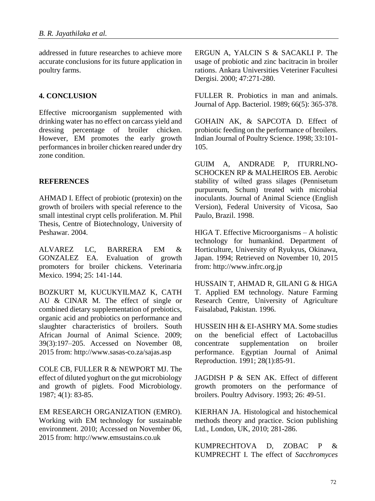addressed in future researches to achieve more accurate conclusions for its future application in poultry farms.

### **4. CONCLUSION**

Effective microorganism supplemented with drinking water has no effect on carcass yield and dressing percentage of broiler chicken. However, EM promotes the early growth performances in broiler chicken reared under dry zone condition.

#### **REFERENCES**

AHMAD I. Effect of probiotic (protexin) on the growth of broilers with special reference to the small intestinal crypt cells proliferation. M. Phil Thesis, Centre of Biotechnology, University of Peshawar. 2004.

ALVAREZ LC, BARRERA EM & GONZALEZ EA. Evaluation of growth promoters for broiler chickens. Veterinaria Mexico. 1994; 25: 141-144.

BOZKURT M, KUCUKYILMAZ K, CATH AU & CINAR M. The effect of single or combined dietary supplementation of prebiotics, organic acid and probiotics on performance and slaughter characteristics of broilers. South African Journal of Animal Science. 2009; 39(3):197–205. Accessed on November 08, 2015 from: http://www.sasas-co.za/sajas.asp

COLE CB, FULLER R & NEWPORT MJ. The effect of diluted yoghurt on the gut microbiology and growth of piglets. Food Microbiology. 1987; 4(1): 83-85.

EM RESEARCH ORGANIZATION (EMRO). Working with EM technology for sustainable environment. 2010; Accessed on November 06, 2015 from: http://www.emsustains.co.uk

ERGUN A, YALCIN S & SACAKLI P. The usage of probiotic and zinc bacitracin in broiler rations. Ankara Universities Veteriner Facultesi Dergisi. 2000; 47:271-280.

FULLER R. Probiotics in man and animals. Journal of App. Bacteriol. 1989; 66(5): 365-378.

GOHAIN AK, & SAPCOTA D. Effect of probiotic feeding on the performance of broilers. Indian Journal of Poultry Science. 1998; 33:101- 105.

GUIM A, ANDRADE P, ITURRLNO-SCHOCKEN RP & MALHEIROS EB. Aerobic stability of wilted grass silages (Pennisetum purpureum, Schum) treated with microbial inoculants. Journal of Animal Science (English Version), Federal University of Vicosa, Sao Paulo, Brazil. 1998.

HIGA T. Effective Microorganisms – A holistic technology for humankind. Department of Horticulture, University of Ryukyus, Okinawa, Japan. 1994; Retrieved on November 10, 2015 from: http://www.infrc.org.jp

HUSSAIN T, AHMAD R, GILANI G & HIGA T. Applied EM technology. Nature Farming Research Centre, University of Agriculture Faisalabad, Pakistan. 1996.

HUSSEIN HH & EI-ASHRY MA. Some studies on the beneficial effect of Lactobacillus concentrate supplementation on broiler performance. Egyptian Journal of Animal Reproduction. 1991; 28(1):85-91.

JAGDISH P & SEN AK. Effect of different growth promoters on the performance of broilers. Poultry Advisory. 1993; 26: 49-51.

KIERHAN JA. Histological and histochemical methods theory and practice. Scion publishing Ltd., London, UK, 2010; 281-286.

KUMPRECHTOVA D, ZOBAC P & KUMPRECHT I. The effect of *Sacchromyces*